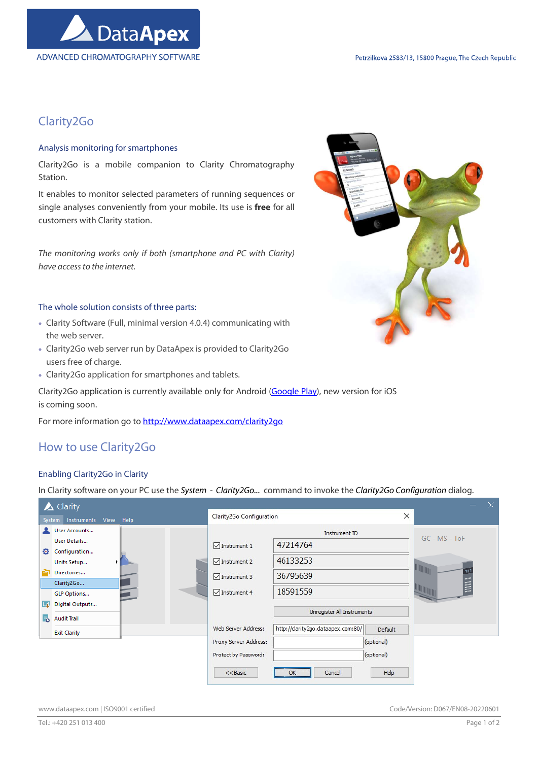

# Clarity2Go

### Analysis monitoring for smartphones

Clarity2Go is a mobile companion to Clarity Chromatography Station.

It enables to monitor selected parameters of running sequences or single analyses conveniently from your mobile. Its use is free for all customers with Clarity station.

The monitoring works only if both (smartphone and PC with Clarity) have access to the internet.

### The whole solution consists of three parts:

- Clarity Software (Full, minimal version 4.0.4) communicating with the web server.
- Clarity2Go web server run by DataApex is provided to Clarity2Go users free of charge.
- Clarity2Go application for smartphones and tablets.

Clarity2Go application is currently available only for Android (Google Play), new version for iOS is coming soon.

For more information go to http://www.dataapex.com/clarity2go

## How to use Clarity2Go

### Enabling Clarity2Go in Clarity

In Clarity software on your PC use the System - Clarity2Go... command to invoke the Clarity2Go Configuration dialog.

|    | $\triangle$ Clarity              |                          |                                    |            | ×.<br>-       |
|----|----------------------------------|--------------------------|------------------------------------|------------|---------------|
|    | Instruments View Help<br>System  | Clarity2Go Configuration |                                    | X          |               |
|    | User Accounts                    |                          | Instrument ID                      |            | GC - MS - ToF |
|    | User Details                     | $\nabla$ Instrument 1    | 47214764                           |            |               |
| Ð  | Configuration<br>Units Setup     | $\sqrt{\ }$ Instrument 2 | 46133253                           |            |               |
|    | Directories                      | $\sqrt{\ }$ Instrument 3 | 36795639                           |            |               |
|    | Clarity2Go<br><b>GLP Options</b> | $\sqrt{\ }$ Instrument 4 | 18591559                           |            | E             |
| u  | Digital Outputs                  |                          |                                    |            |               |
| Б. | <b>Audit Trail</b>               |                          | Unregister All Instruments         |            |               |
|    | <b>Exit Clarity</b>              | Web Server Address:      | http://clarity2go.dataapex.com:80/ | Default    |               |
|    |                                  | Proxy Server Address:    |                                    | (optional) |               |
|    |                                  | Protect by Password:     |                                    | (optional) |               |
|    |                                  | $<<$ Basic               | OK<br>Cancel                       | Help       |               |